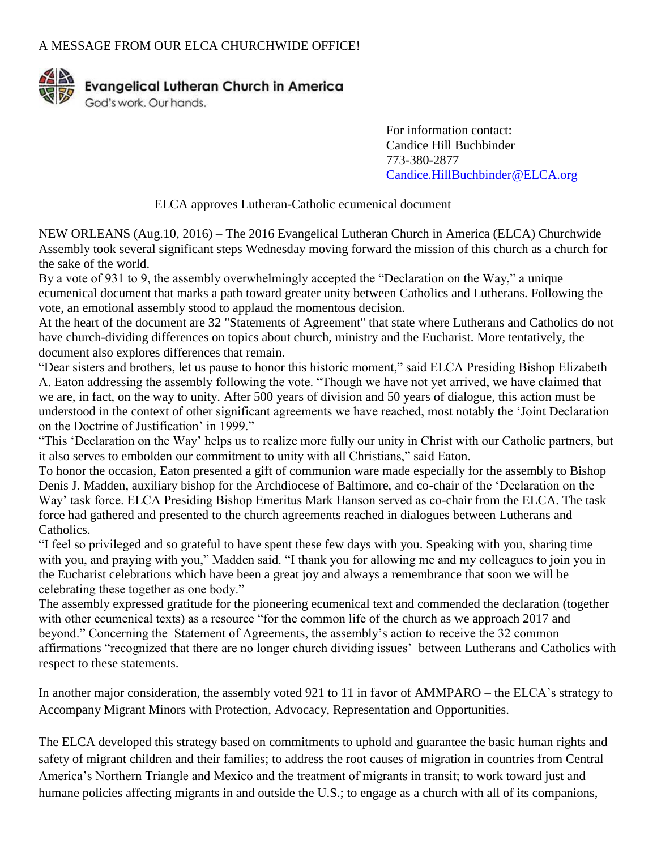

For information contact: Candice Hill Buchbinder 773-380-2877 [Candice.HillBuchbinder@ELCA.org](mailto:Candice.HillBuchbinder@ELCA.org)

ELCA approves Lutheran-Catholic ecumenical document

NEW ORLEANS (Aug.10, 2016) – The 2016 Evangelical Lutheran Church in America (ELCA) Churchwide Assembly took several significant steps Wednesday moving forward the mission of this church as a church for the sake of the world.

By a vote of 931 to 9, the assembly overwhelmingly accepted the "Declaration on the Way," a unique ecumenical document that marks a path toward greater unity between Catholics and Lutherans. Following the vote, an emotional assembly stood to applaud the momentous decision.

At the heart of the document are 32 "Statements of Agreement" that state where Lutherans and Catholics do not have church-dividing differences on topics about church, ministry and the Eucharist. More tentatively, the document also explores differences that remain.

"Dear sisters and brothers, let us pause to honor this historic moment," said ELCA Presiding Bishop Elizabeth A. Eaton addressing the assembly following the vote. "Though we have not yet arrived, we have claimed that we are, in fact, on the way to unity. After 500 years of division and 50 years of dialogue, this action must be understood in the context of other significant agreements we have reached, most notably the 'Joint Declaration on the Doctrine of Justification' in 1999."

"This 'Declaration on the Way' helps us to realize more fully our unity in Christ with our Catholic partners, but it also serves to embolden our commitment to unity with all Christians," said Eaton.

To honor the occasion, Eaton presented a gift of communion ware made especially for the assembly to Bishop Denis J. Madden, auxiliary bishop for the Archdiocese of Baltimore, and co-chair of the 'Declaration on the Way' task force. ELCA Presiding Bishop Emeritus Mark Hanson served as co-chair from the ELCA. The task force had gathered and presented to the church agreements reached in dialogues between Lutherans and Catholics.

"I feel so privileged and so grateful to have spent these few days with you. Speaking with you, sharing time with you, and praying with you," Madden said. "I thank you for allowing me and my colleagues to join you in the Eucharist celebrations which have been a great joy and always a remembrance that soon we will be celebrating these together as one body."

The assembly expressed gratitude for the pioneering ecumenical text and commended the declaration (together with other ecumenical texts) as a resource "for the common life of the church as we approach 2017 and beyond." Concerning the Statement of Agreements, the assembly's action to receive the 32 common affirmations "recognized that there are no longer church dividing issues' between Lutherans and Catholics with respect to these statements.

In another major consideration, the assembly voted 921 to 11 in favor of AMMPARO – the ELCA's strategy to Accompany Migrant Minors with Protection, Advocacy, Representation and Opportunities.

The ELCA developed this strategy based on commitments to uphold and guarantee the basic human rights and safety of migrant children and their families; to address the root causes of migration in countries from Central America's Northern Triangle and Mexico and the treatment of migrants in transit; to work toward just and humane policies affecting migrants in and outside the U.S.; to engage as a church with all of its companions,